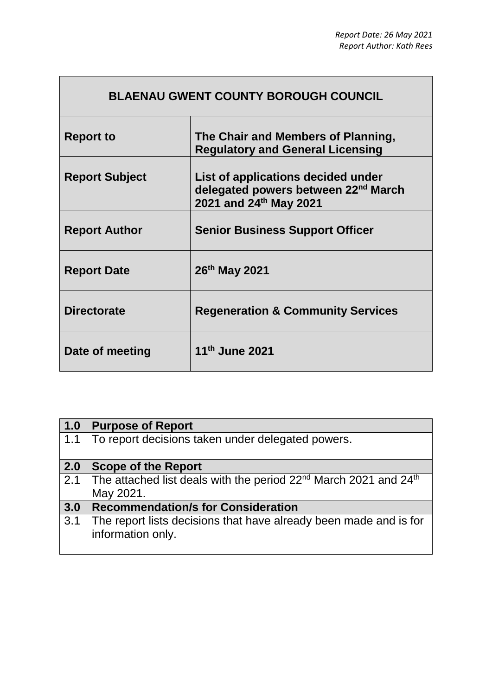| <b>BLAENAU GWENT COUNTY BOROUGH COUNCIL</b> |                                                                                                                 |  |
|---------------------------------------------|-----------------------------------------------------------------------------------------------------------------|--|
| <b>Report to</b>                            | The Chair and Members of Planning,<br><b>Regulatory and General Licensing</b>                                   |  |
| <b>Report Subject</b>                       | List of applications decided under<br>delegated powers between 22 <sup>nd</sup> March<br>2021 and 24th May 2021 |  |
| <b>Report Author</b>                        | <b>Senior Business Support Officer</b>                                                                          |  |
| <b>Report Date</b>                          | 26th May 2021                                                                                                   |  |
| <b>Directorate</b>                          | <b>Regeneration &amp; Community Services</b>                                                                    |  |
| Date of meeting                             | 11th June 2021                                                                                                  |  |

 $\Gamma$ 

| 1.0 | <b>Purpose of Report</b>                                                                              |
|-----|-------------------------------------------------------------------------------------------------------|
| 1.1 | To report decisions taken under delegated powers.                                                     |
| 2.0 | <b>Scope of the Report</b>                                                                            |
| 2.1 | The attached list deals with the period 22 <sup>nd</sup> March 2021 and 24 <sup>th</sup><br>May 2021. |
| 3.0 | <b>Recommendation/s for Consideration</b>                                                             |
| 3.1 | The report lists decisions that have already been made and is for<br>information only.                |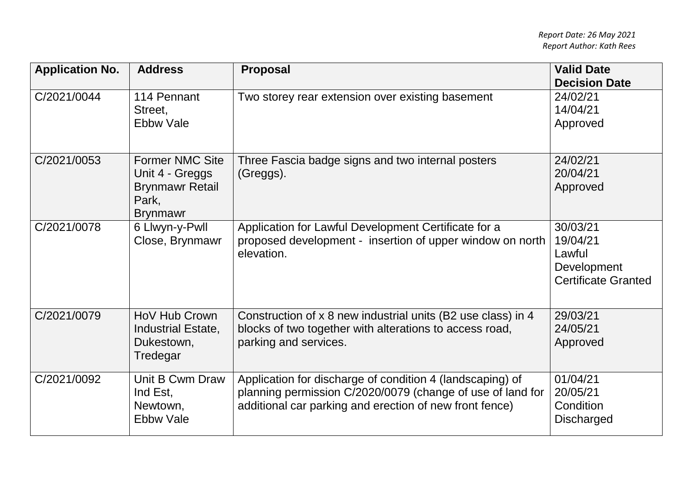| <b>Application No.</b> | <b>Address</b>                                                                                  | <b>Proposal</b>                                                                                                                                                                    | <b>Valid Date</b><br><b>Decision Date</b>                                   |
|------------------------|-------------------------------------------------------------------------------------------------|------------------------------------------------------------------------------------------------------------------------------------------------------------------------------------|-----------------------------------------------------------------------------|
| C/2021/0044            | 114 Pennant<br>Street,<br><b>Ebbw Vale</b>                                                      | Two storey rear extension over existing basement                                                                                                                                   | 24/02/21<br>14/04/21<br>Approved                                            |
| C/2021/0053            | <b>Former NMC Site</b><br>Unit 4 - Greggs<br><b>Brynmawr Retail</b><br>Park,<br><b>Brynmawr</b> | Three Fascia badge signs and two internal posters<br>(Greggs).                                                                                                                     | 24/02/21<br>20/04/21<br>Approved                                            |
| C/2021/0078            | 6 Llwyn-y-Pwll<br>Close, Brynmawr                                                               | Application for Lawful Development Certificate for a<br>proposed development - insertion of upper window on north<br>elevation.                                                    | 30/03/21<br>19/04/21<br>Lawful<br>Development<br><b>Certificate Granted</b> |
| C/2021/0079            | HoV Hub Crown<br>Industrial Estate,<br>Dukestown,<br>Tredegar                                   | Construction of x 8 new industrial units (B2 use class) in 4<br>blocks of two together with alterations to access road,<br>parking and services.                                   | 29/03/21<br>24/05/21<br>Approved                                            |
| C/2021/0092            | Unit B Cwm Draw<br>Ind Est,<br>Newtown,<br><b>Ebbw Vale</b>                                     | Application for discharge of condition 4 (landscaping) of<br>planning permission C/2020/0079 (change of use of land for<br>additional car parking and erection of new front fence) | 01/04/21<br>20/05/21<br>Condition<br><b>Discharged</b>                      |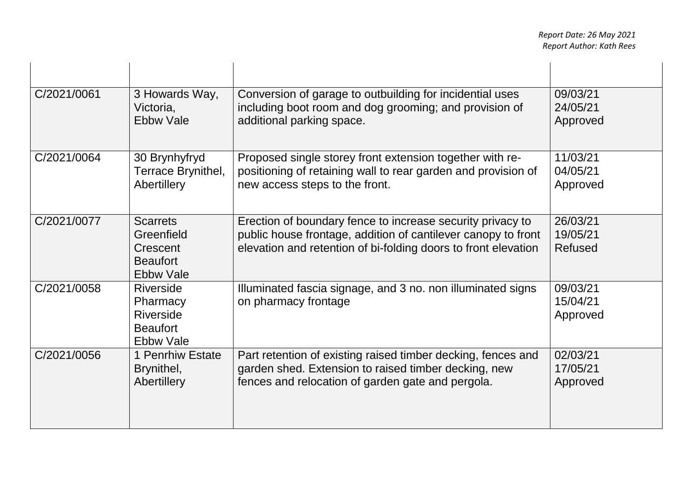| C/2021/0061 | 3 Howards Way,                                                                   | Conversion of garage to outbuilding for incidential uses                                                                                                                                      | 09/03/21                               |
|-------------|----------------------------------------------------------------------------------|-----------------------------------------------------------------------------------------------------------------------------------------------------------------------------------------------|----------------------------------------|
|             | Victoria.                                                                        | including boot room and dog grooming; and provision of                                                                                                                                        | 24/05/21                               |
|             | <b>Ebbw Vale</b>                                                                 | additional parking space.                                                                                                                                                                     | Approved                               |
| C/2021/0064 | 30 Brynhyfryd                                                                    | Proposed single storey front extension together with re-                                                                                                                                      | 11/03/21                               |
|             | Terrace Brynithel,                                                               | positioning of retaining wall to rear garden and provision of                                                                                                                                 | 04/05/21                               |
|             | Abertillery                                                                      | new access steps to the front.                                                                                                                                                                | Approved                               |
| C/2021/0077 | <b>Scarrets</b><br>Greenfield<br>Crescent<br><b>Beaufort</b><br><b>Ebbw Vale</b> | Erection of boundary fence to increase security privacy to<br>public house frontage, addition of cantilever canopy to front<br>elevation and retention of bi-folding doors to front elevation | 26/03/21<br>19/05/21<br><b>Refused</b> |
| C/2021/0058 | Riverside<br>Pharmacy<br>Riverside<br><b>Beaufort</b><br><b>Ebbw Vale</b>        | Illuminated fascia signage, and 3 no. non illuminated signs<br>on pharmacy frontage                                                                                                           | 09/03/21<br>15/04/21<br>Approved       |
| C/2021/0056 | 1 Penrhiw Estate                                                                 | Part retention of existing raised timber decking, fences and                                                                                                                                  | 02/03/21                               |
|             | Brynithel,                                                                       | garden shed. Extension to raised timber decking, new                                                                                                                                          | 17/05/21                               |
|             | Abertillery                                                                      | fences and relocation of garden gate and pergola.                                                                                                                                             | Approved                               |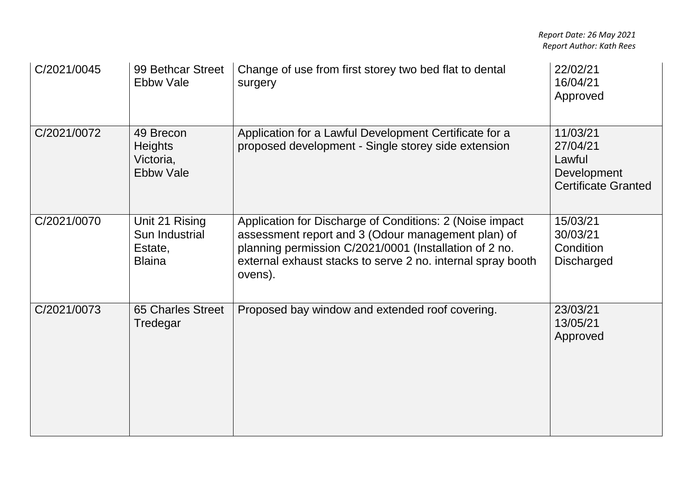| C/2021/0045 | 99 Bethcar Street<br><b>Ebbw Vale</b>                        | Change of use from first storey two bed flat to dental<br>surgery                                                                                                                                                                                  | 22/02/21<br>16/04/21<br>Approved                                            |
|-------------|--------------------------------------------------------------|----------------------------------------------------------------------------------------------------------------------------------------------------------------------------------------------------------------------------------------------------|-----------------------------------------------------------------------------|
| C/2021/0072 | 49 Brecon<br><b>Heights</b><br>Victoria,<br><b>Ebbw Vale</b> | Application for a Lawful Development Certificate for a<br>proposed development - Single storey side extension                                                                                                                                      | 11/03/21<br>27/04/21<br>Lawful<br>Development<br><b>Certificate Granted</b> |
| C/2021/0070 | Unit 21 Rising<br>Sun Industrial<br>Estate,<br><b>Blaina</b> | Application for Discharge of Conditions: 2 (Noise impact<br>assessment report and 3 (Odour management plan) of<br>planning permission C/2021/0001 (Installation of 2 no.<br>external exhaust stacks to serve 2 no. internal spray booth<br>ovens). | 15/03/21<br>30/03/21<br>Condition<br><b>Discharged</b>                      |
| C/2021/0073 | <b>65 Charles Street</b><br>Tredegar                         | Proposed bay window and extended roof covering.                                                                                                                                                                                                    | 23/03/21<br>13/05/21<br>Approved                                            |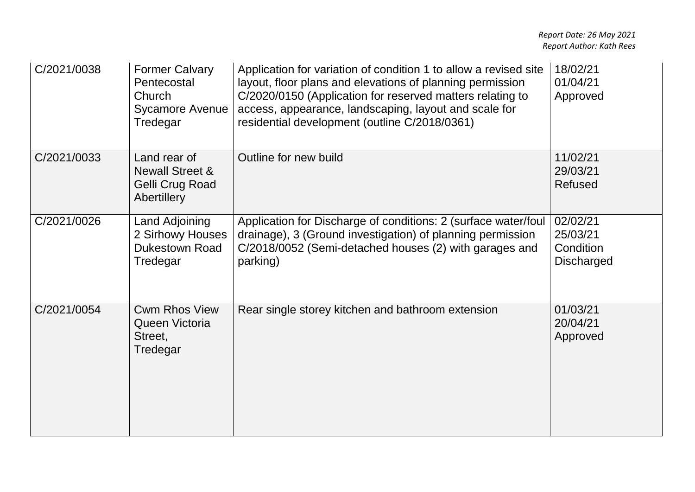| C/2021/0038 | <b>Former Calvary</b><br>Pentecostal<br>Church<br><b>Sycamore Avenue</b><br>Tredegar | Application for variation of condition 1 to allow a revised site<br>layout, floor plans and elevations of planning permission<br>C/2020/0150 (Application for reserved matters relating to<br>access, appearance, landscaping, layout and scale for<br>residential development (outline C/2018/0361) | 18/02/21<br>01/04/21<br>Approved                       |
|-------------|--------------------------------------------------------------------------------------|------------------------------------------------------------------------------------------------------------------------------------------------------------------------------------------------------------------------------------------------------------------------------------------------------|--------------------------------------------------------|
| C/2021/0033 | Land rear of<br><b>Newall Street &amp;</b><br>Gelli Crug Road<br><b>Abertillery</b>  | Outline for new build                                                                                                                                                                                                                                                                                | 11/02/21<br>29/03/21<br>Refused                        |
| C/2021/0026 | Land Adjoining<br>2 Sirhowy Houses<br><b>Dukestown Road</b><br>Tredegar              | Application for Discharge of conditions: 2 (surface water/foul<br>drainage), 3 (Ground investigation) of planning permission<br>C/2018/0052 (Semi-detached houses (2) with garages and<br>parking)                                                                                                   | 02/02/21<br>25/03/21<br>Condition<br><b>Discharged</b> |
| C/2021/0054 | <b>Cwm Rhos View</b><br>Queen Victoria<br>Street,<br>Tredegar                        | Rear single storey kitchen and bathroom extension                                                                                                                                                                                                                                                    | 01/03/21<br>20/04/21<br>Approved                       |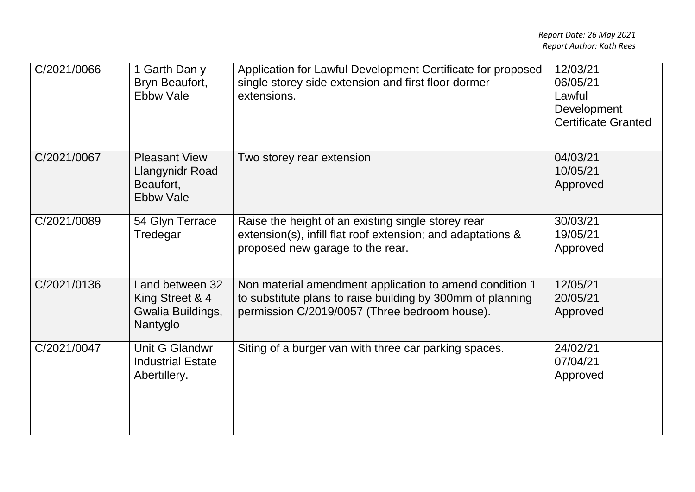| C/2021/0066 | 1 Garth Dan y<br>Bryn Beaufort,<br><b>Ebbw Vale</b>                      | Application for Lawful Development Certificate for proposed<br>single storey side extension and first floor dormer<br>extensions.                                      | 12/03/21<br>06/05/21<br>Lawful<br>Development<br><b>Certificate Granted</b> |
|-------------|--------------------------------------------------------------------------|------------------------------------------------------------------------------------------------------------------------------------------------------------------------|-----------------------------------------------------------------------------|
| C/2021/0067 | <b>Pleasant View</b><br>Llangynidr Road<br>Beaufort,<br><b>Ebbw Vale</b> | Two storey rear extension                                                                                                                                              | 04/03/21<br>10/05/21<br>Approved                                            |
| C/2021/0089 | 54 Glyn Terrace<br>Tredegar                                              | Raise the height of an existing single storey rear<br>extension(s), infill flat roof extension; and adaptations &<br>proposed new garage to the rear.                  | 30/03/21<br>19/05/21<br>Approved                                            |
| C/2021/0136 | Land between 32<br>King Street & 4<br>Gwalia Buildings,<br>Nantyglo      | Non material amendment application to amend condition 1<br>to substitute plans to raise building by 300mm of planning<br>permission C/2019/0057 (Three bedroom house). | 12/05/21<br>20/05/21<br>Approved                                            |
| C/2021/0047 | Unit G Glandwr<br><b>Industrial Estate</b><br>Abertillery.               | Siting of a burger van with three car parking spaces.                                                                                                                  | 24/02/21<br>07/04/21<br>Approved                                            |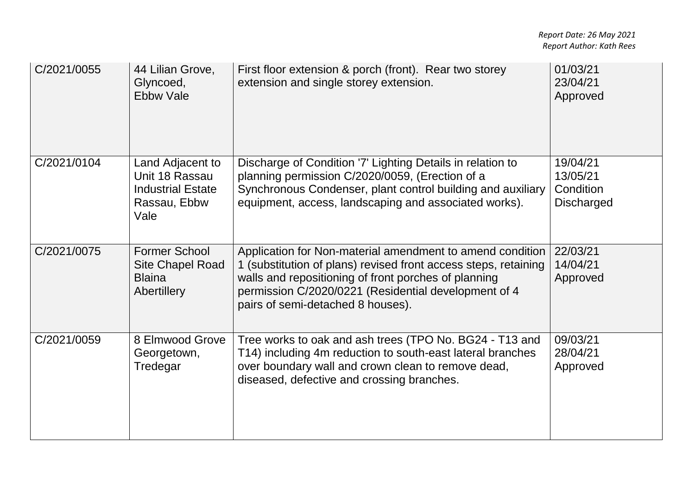| C/2021/0055 | 44 Lilian Grove,<br>Glyncoed,<br><b>Ebbw Vale</b>                                      | First floor extension & porch (front). Rear two storey<br>extension and single storey extension.                                                                                                                                                                                  | 01/03/21<br>23/04/21<br>Approved                       |
|-------------|----------------------------------------------------------------------------------------|-----------------------------------------------------------------------------------------------------------------------------------------------------------------------------------------------------------------------------------------------------------------------------------|--------------------------------------------------------|
| C/2021/0104 | Land Adjacent to<br>Unit 18 Rassau<br><b>Industrial Estate</b><br>Rassau, Ebbw<br>Vale | Discharge of Condition '7' Lighting Details in relation to<br>planning permission C/2020/0059, (Erection of a<br>Synchronous Condenser, plant control building and auxiliary<br>equipment, access, landscaping and associated works).                                             | 19/04/21<br>13/05/21<br>Condition<br><b>Discharged</b> |
| C/2021/0075 | <b>Former School</b><br><b>Site Chapel Road</b><br><b>Blaina</b><br>Abertillery        | Application for Non-material amendment to amend condition<br>1 (substitution of plans) revised front access steps, retaining<br>walls and repositioning of front porches of planning<br>permission C/2020/0221 (Residential development of 4<br>pairs of semi-detached 8 houses). | 22/03/21<br>14/04/21<br>Approved                       |
| C/2021/0059 | 8 Elmwood Grove<br>Georgetown,<br>Tredegar                                             | Tree works to oak and ash trees (TPO No. BG24 - T13 and<br>T14) including 4m reduction to south-east lateral branches<br>over boundary wall and crown clean to remove dead,<br>diseased, defective and crossing branches.                                                         | 09/03/21<br>28/04/21<br>Approved                       |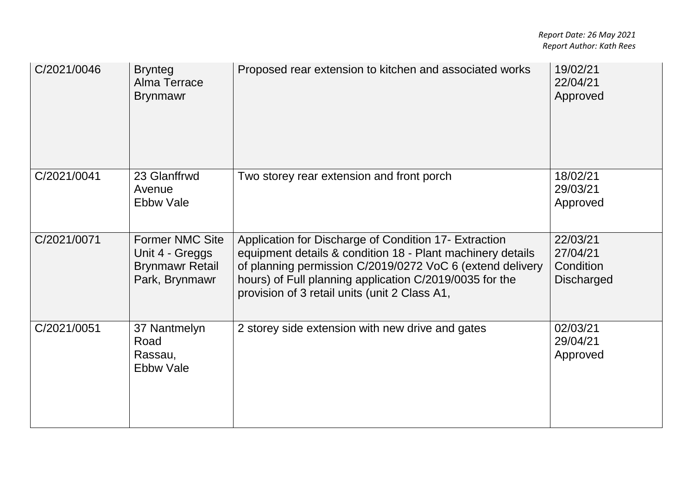| C/2021/0046 | <b>Brynteg</b><br>Alma Terrace<br><b>Brynmawr</b>                                     | Proposed rear extension to kitchen and associated works                                                                                                                                                                                                                                      | 19/02/21<br>22/04/21<br>Approved                       |
|-------------|---------------------------------------------------------------------------------------|----------------------------------------------------------------------------------------------------------------------------------------------------------------------------------------------------------------------------------------------------------------------------------------------|--------------------------------------------------------|
| C/2021/0041 | 23 Glanffrwd<br>Avenue<br>Ebbw Vale                                                   | Two storey rear extension and front porch                                                                                                                                                                                                                                                    | 18/02/21<br>29/03/21<br>Approved                       |
| C/2021/0071 | <b>Former NMC Site</b><br>Unit 4 - Greggs<br><b>Brynmawr Retail</b><br>Park, Brynmawr | Application for Discharge of Condition 17- Extraction<br>equipment details & condition 18 - Plant machinery details<br>of planning permission C/2019/0272 VoC 6 (extend delivery<br>hours) of Full planning application C/2019/0035 for the<br>provision of 3 retail units (unit 2 Class A1, | 22/03/21<br>27/04/21<br>Condition<br><b>Discharged</b> |
| C/2021/0051 | 37 Nantmelyn<br>Road<br>Rassau,<br>Ebbw Vale                                          | 2 storey side extension with new drive and gates                                                                                                                                                                                                                                             | 02/03/21<br>29/04/21<br>Approved                       |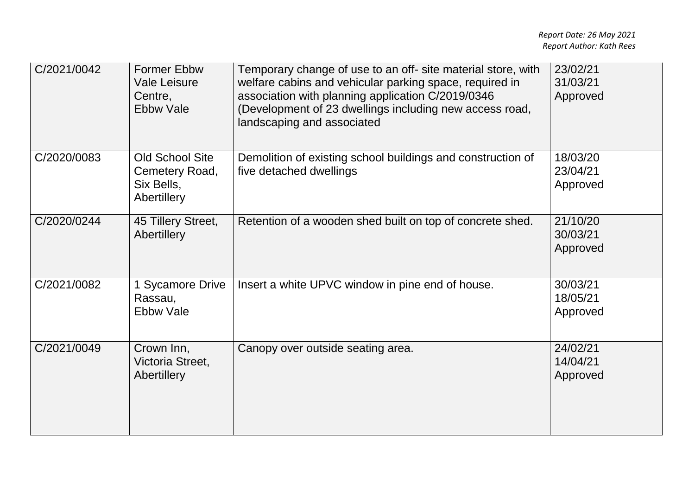| C/2021/0042 | <b>Former Ebbw</b><br><b>Vale Leisure</b><br>Centre,<br><b>Ebbw Vale</b> | Temporary change of use to an off- site material store, with<br>welfare cabins and vehicular parking space, required in<br>association with planning application C/2019/0346<br>(Development of 23 dwellings including new access road,<br>landscaping and associated | 23/02/21<br>31/03/21<br>Approved |
|-------------|--------------------------------------------------------------------------|-----------------------------------------------------------------------------------------------------------------------------------------------------------------------------------------------------------------------------------------------------------------------|----------------------------------|
| C/2020/0083 | <b>Old School Site</b><br>Cemetery Road,<br>Six Bells,<br>Abertillery    | Demolition of existing school buildings and construction of<br>five detached dwellings                                                                                                                                                                                | 18/03/20<br>23/04/21<br>Approved |
| C/2020/0244 | 45 Tillery Street,<br>Abertillery                                        | Retention of a wooden shed built on top of concrete shed.                                                                                                                                                                                                             | 21/10/20<br>30/03/21<br>Approved |
| C/2021/0082 | 1 Sycamore Drive<br>Rassau,<br><b>Ebbw Vale</b>                          | Insert a white UPVC window in pine end of house.                                                                                                                                                                                                                      | 30/03/21<br>18/05/21<br>Approved |
| C/2021/0049 | Crown Inn,<br>Victoria Street,<br>Abertillery                            | Canopy over outside seating area.                                                                                                                                                                                                                                     | 24/02/21<br>14/04/21<br>Approved |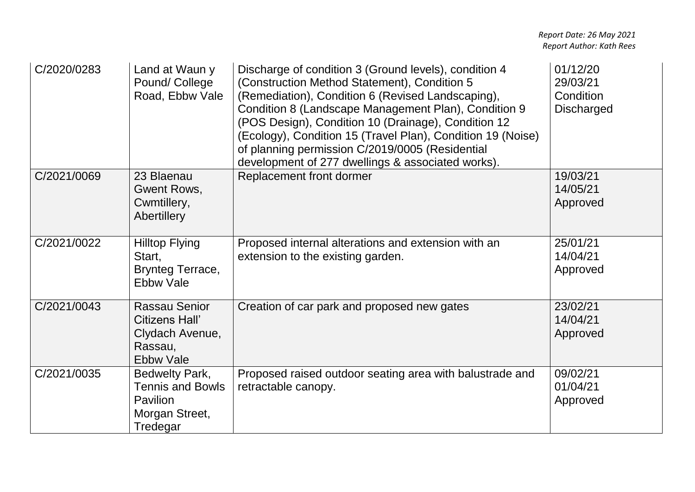| C/2020/0283 | Land at Waun y<br>Pound/College<br>Road, Ebbw Vale                                              | Discharge of condition 3 (Ground levels), condition 4<br>(Construction Method Statement), Condition 5<br>(Remediation), Condition 6 (Revised Landscaping),<br>Condition 8 (Landscape Management Plan), Condition 9<br>(POS Design), Condition 10 (Drainage), Condition 12<br>(Ecology), Condition 15 (Travel Plan), Condition 19 (Noise)<br>of planning permission C/2019/0005 (Residential<br>development of 277 dwellings & associated works). | 01/12/20<br>29/03/21<br>Condition<br><b>Discharged</b> |
|-------------|-------------------------------------------------------------------------------------------------|--------------------------------------------------------------------------------------------------------------------------------------------------------------------------------------------------------------------------------------------------------------------------------------------------------------------------------------------------------------------------------------------------------------------------------------------------|--------------------------------------------------------|
| C/2021/0069 | 23 Blaenau<br>Gwent Rows,<br>Cwmtillery,<br>Abertillery                                         | Replacement front dormer                                                                                                                                                                                                                                                                                                                                                                                                                         | 19/03/21<br>14/05/21<br>Approved                       |
| C/2021/0022 | <b>Hilltop Flying</b><br>Start,<br>Brynteg Terrace,<br><b>Ebbw Vale</b>                         | Proposed internal alterations and extension with an<br>extension to the existing garden.                                                                                                                                                                                                                                                                                                                                                         | 25/01/21<br>14/04/21<br>Approved                       |
| C/2021/0043 | <b>Rassau Senior</b><br><b>Citizens Hall'</b><br>Clydach Avenue,<br>Rassau,<br><b>Ebbw Vale</b> | Creation of car park and proposed new gates                                                                                                                                                                                                                                                                                                                                                                                                      | 23/02/21<br>14/04/21<br>Approved                       |
| C/2021/0035 | Bedwelty Park,<br><b>Tennis and Bowls</b><br><b>Pavilion</b><br>Morgan Street,<br>Tredegar      | Proposed raised outdoor seating area with balustrade and<br>retractable canopy.                                                                                                                                                                                                                                                                                                                                                                  | 09/02/21<br>01/04/21<br>Approved                       |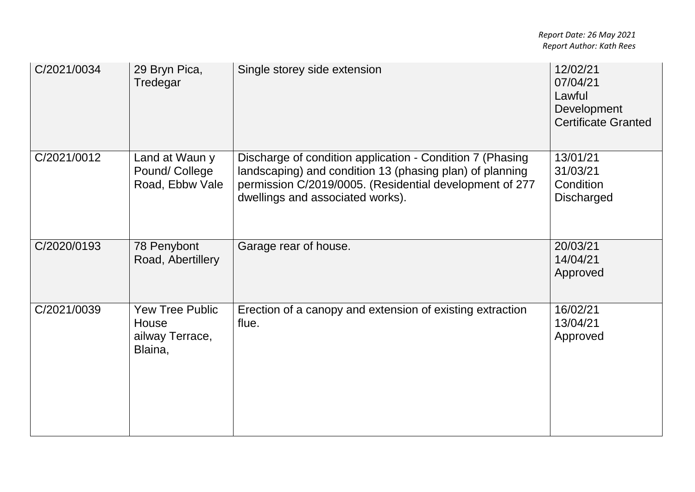| C/2021/0034 | 29 Bryn Pica,<br>Tredegar                                     | Single storey side extension                                                                                                                                                                                         | 12/02/21<br>07/04/21<br>Lawful<br>Development<br><b>Certificate Granted</b> |
|-------------|---------------------------------------------------------------|----------------------------------------------------------------------------------------------------------------------------------------------------------------------------------------------------------------------|-----------------------------------------------------------------------------|
| C/2021/0012 | Land at Waun y<br>Pound/College<br>Road, Ebbw Vale            | Discharge of condition application - Condition 7 (Phasing<br>landscaping) and condition 13 (phasing plan) of planning<br>permission C/2019/0005. (Residential development of 277<br>dwellings and associated works). | 13/01/21<br>31/03/21<br>Condition<br><b>Discharged</b>                      |
| C/2020/0193 | 78 Penybont<br>Road, Abertillery                              | Garage rear of house.                                                                                                                                                                                                | 20/03/21<br>14/04/21<br>Approved                                            |
| C/2021/0039 | <b>Yew Tree Public</b><br>House<br>ailway Terrace,<br>Blaina, | Erection of a canopy and extension of existing extraction<br>flue.                                                                                                                                                   | 16/02/21<br>13/04/21<br>Approved                                            |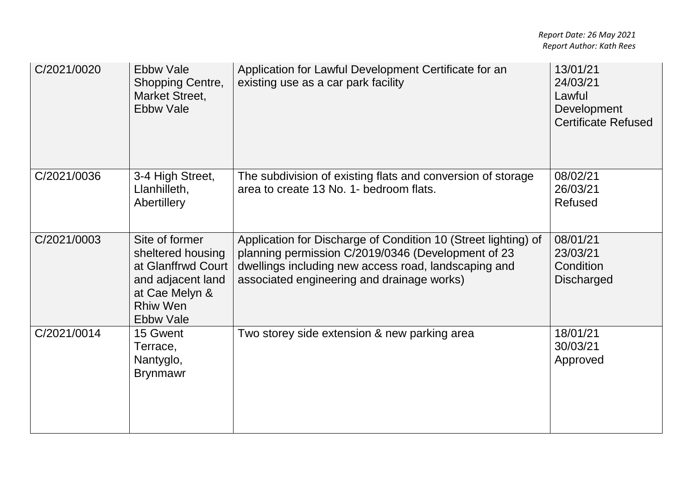| C/2021/0020 | <b>Ebbw Vale</b><br><b>Shopping Centre,</b><br>Market Street,<br><b>Ebbw Vale</b>                                                       | Application for Lawful Development Certificate for an<br>existing use as a car park facility                                                                                                                               | 13/01/21<br>24/03/21<br>Lawful<br>Development<br><b>Certificate Refused</b> |
|-------------|-----------------------------------------------------------------------------------------------------------------------------------------|----------------------------------------------------------------------------------------------------------------------------------------------------------------------------------------------------------------------------|-----------------------------------------------------------------------------|
| C/2021/0036 | 3-4 High Street,<br>Llanhilleth,<br>Abertillery                                                                                         | The subdivision of existing flats and conversion of storage<br>area to create 13 No. 1- bedroom flats.                                                                                                                     | 08/02/21<br>26/03/21<br><b>Refused</b>                                      |
| C/2021/0003 | Site of former<br>sheltered housing<br>at Glanffrwd Court<br>and adjacent land<br>at Cae Melyn &<br><b>Rhiw Wen</b><br><b>Ebbw Vale</b> | Application for Discharge of Condition 10 (Street lighting) of<br>planning permission C/2019/0346 (Development of 23<br>dwellings including new access road, landscaping and<br>associated engineering and drainage works) | 08/01/21<br>23/03/21<br>Condition<br><b>Discharged</b>                      |
| C/2021/0014 | 15 Gwent<br>Terrace,<br>Nantyglo,<br><b>Brynmawr</b>                                                                                    | Two storey side extension & new parking area                                                                                                                                                                               | 18/01/21<br>30/03/21<br>Approved                                            |